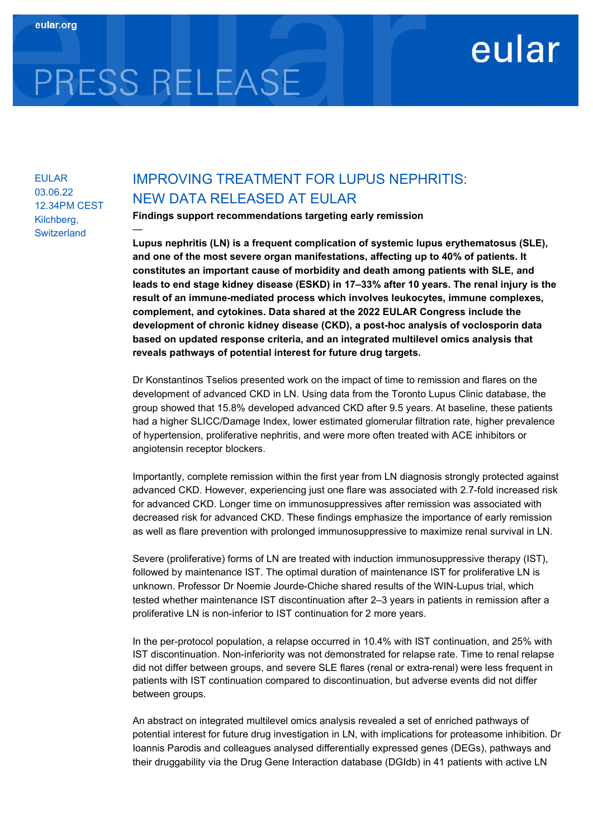## eular

# PRESS RELEASE

—

EULAR 03.06.22 12.34PM CEST Kilchberg, **Switzerland** 

### IMPROVING TREATMENT FOR LUPUS NEPHRITIS: NEW DATA RELEASED AT EULAR

Findings support recommendations targeting early remission

Lupus nephritis (LN) is a frequent complication of systemic lupus erythematosus (SLE), and one of the most severe organ manifestations, affecting up to 40% of patients. It constitutes an important cause of morbidity and death among patients with SLE, and leads to end stage kidney disease (ESKD) in 17–33% after 10 years. The renal injury is the result of an immune-mediated process which involves leukocytes, immune complexes, complement, and cytokines. Data shared at the 2022 EULAR Congress include the development of chronic kidney disease (CKD), a post-hoc analysis of voclosporin data based on updated response criteria, and an integrated multilevel omics analysis that reveals pathways of potential interest for future drug targets.

Dr Konstantinos Tselios presented work on the impact of time to remission and flares on the development of advanced CKD in LN. Using data from the Toronto Lupus Clinic database, the group showed that 15.8% developed advanced CKD after 9.5 years. At baseline, these patients had a higher SLICC/Damage Index, lower estimated glomerular filtration rate, higher prevalence of hypertension, proliferative nephritis, and were more often treated with ACE inhibitors or angiotensin receptor blockers.

Importantly, complete remission within the first year from LN diagnosis strongly protected against advanced CKD. However, experiencing just one flare was associated with 2.7-fold increased risk for advanced CKD. Longer time on immunosuppressives after remission was associated with decreased risk for advanced CKD. These findings emphasize the importance of early remission as well as flare prevention with prolonged immunosuppressive to maximize renal survival in LN.

Severe (proliferative) forms of LN are treated with induction immunosuppressive therapy (IST), followed by maintenance IST. The optimal duration of maintenance IST for proliferative LN is unknown. Professor Dr Noemie Jourde-Chiche shared results of the WIN-Lupus trial, which tested whether maintenance IST discontinuation after 2–3 years in patients in remission after a proliferative LN is non-inferior to IST continuation for 2 more years.

In the per-protocol population, a relapse occurred in 10.4% with IST continuation, and 25% with IST discontinuation. Non-inferiority was not demonstrated for relapse rate. Time to renal relapse did not differ between groups, and severe SLE flares (renal or extra-renal) were less frequent in patients with IST continuation compared to discontinuation, but adverse events did not differ between groups.

An abstract on integrated multilevel omics analysis revealed a set of enriched pathways of potential interest for future drug investigation in LN, with implications for proteasome inhibition. Dr Ioannis Parodis and colleagues analysed differentially expressed genes (DEGs), pathways and their druggability via the Drug Gene Interaction database (DGIdb) in 41 patients with active LN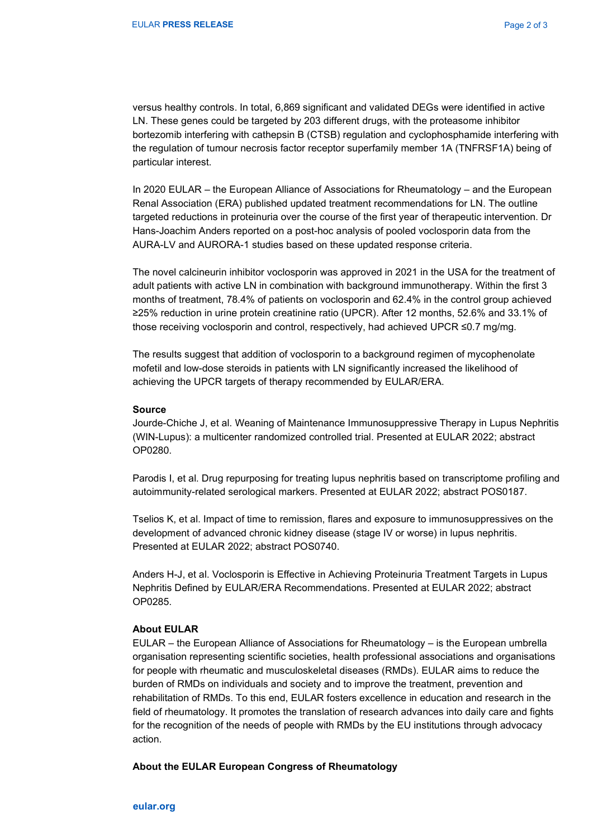versus healthy controls. In total, 6,869 significant and validated DEGs were identified in active LN. These genes could be targeted by 203 different drugs, with the proteasome inhibitor bortezomib interfering with cathepsin B (CTSB) regulation and cyclophosphamide interfering with the regulation of tumour necrosis factor receptor superfamily member 1A (TNFRSF1A) being of particular interest.

In 2020 EULAR – the European Alliance of Associations for Rheumatology – and the European Renal Association (ERA) published updated treatment recommendations for LN. The outline targeted reductions in proteinuria over the course of the first year of therapeutic intervention. Dr Hans-Joachim Anders reported on a post-hoc analysis of pooled voclosporin data from the AURA-LV and AURORA-1 studies based on these updated response criteria.

The novel calcineurin inhibitor voclosporin was approved in 2021 in the USA for the treatment of adult patients with active LN in combination with background immunotherapy. Within the first 3 months of treatment, 78.4% of patients on voclosporin and 62.4% in the control group achieved ≥25% reduction in urine protein creatinine ratio (UPCR). After 12 months, 52.6% and 33.1% of those receiving voclosporin and control, respectively, had achieved UPCR ≤0.7 mg/mg.

The results suggest that addition of voclosporin to a background regimen of mycophenolate mofetil and low-dose steroids in patients with LN significantly increased the likelihood of achieving the UPCR targets of therapy recommended by EULAR/ERA.

#### Source

Jourde-Chiche J, et al. Weaning of Maintenance Immunosuppressive Therapy in Lupus Nephritis (WIN-Lupus): a multicenter randomized controlled trial. Presented at EULAR 2022; abstract OP0280.

Parodis I, et al. Drug repurposing for treating lupus nephritis based on transcriptome profiling and autoimmunity-related serological markers. Presented at EULAR 2022; abstract POS0187.

Tselios K, et al. Impact of time to remission, flares and exposure to immunosuppressives on the development of advanced chronic kidney disease (stage IV or worse) in lupus nephritis. Presented at EULAR 2022; abstract POS0740.

Anders H-J, et al. Voclosporin is Effective in Achieving Proteinuria Treatment Targets in Lupus Nephritis Defined by EULAR/ERA Recommendations. Presented at EULAR 2022; abstract OP0285.

#### About EULAR

EULAR – the European Alliance of Associations for Rheumatology – is the European umbrella organisation representing scientific societies, health professional associations and organisations for people with rheumatic and musculoskeletal diseases (RMDs). EULAR aims to reduce the burden of RMDs on individuals and society and to improve the treatment, prevention and rehabilitation of RMDs. To this end, EULAR fosters excellence in education and research in the field of rheumatology. It promotes the translation of research advances into daily care and fights for the recognition of the needs of people with RMDs by the EU institutions through advocacy action.

#### About the EULAR European Congress of Rheumatology

eular.org